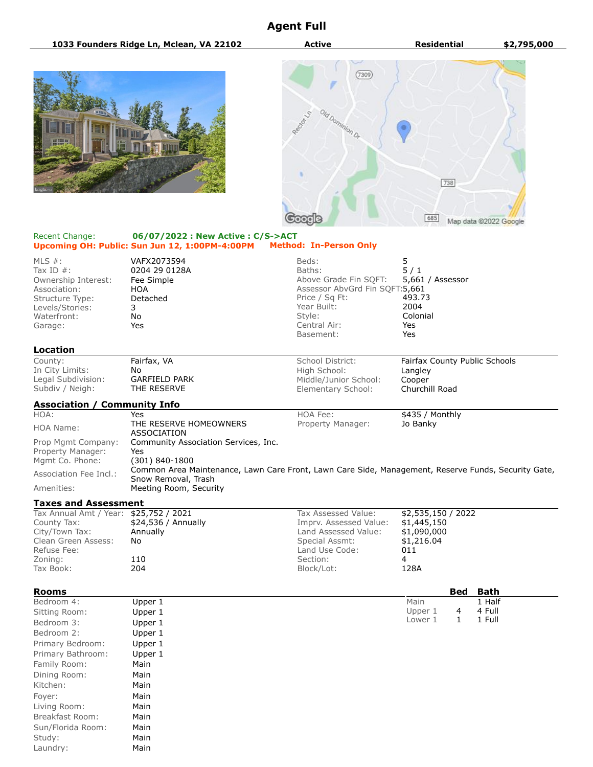# **Agent Full**

**1033 Founders Ridge Ln, Mclean, VA 22102 Active Residential \$2,795,000**





### Recent Change: **06/07/2022 : New Active : C/S->ACT Upcoming OH: Public: Sun Jun 12, 1:00PM-4:00PM Method: In-Person Only**

| MLS $#$ :<br>Tax ID $#$ :<br>Ownership Interest:<br>Association:<br>Structure Type:<br>Levels/Stories:<br>Waterfront:<br>Garage: | VAFX2073594<br>0204 29 0128A<br>Fee Simple<br><b>HOA</b><br>Detached<br>3<br>No.<br>Yes                                    | Beds:<br>Baths:<br>Above Grade Fin SQFT:<br>Assessor AbvGrd Fin SQFT:5,661<br>Price / Sq Ft:<br>Year Built:<br>Style:<br>Central Air:<br>Basement: | 5<br>5/1<br>5,661 / Assessor<br>493.73<br>2004<br>Colonial<br>Yes<br>Yes |  |
|----------------------------------------------------------------------------------------------------------------------------------|----------------------------------------------------------------------------------------------------------------------------|----------------------------------------------------------------------------------------------------------------------------------------------------|--------------------------------------------------------------------------|--|
| Location                                                                                                                         |                                                                                                                            |                                                                                                                                                    |                                                                          |  |
| County:<br>In City Limits:<br>Legal Subdivision:<br>Subdiv / Neigh:                                                              | Fairfax, VA<br>No.<br><b>GARFIELD PARK</b><br>THE RESERVE                                                                  | School District:<br>High School:<br>Middle/Junior School:<br>Elementary School:                                                                    | Fairfax County Public Schools<br>Langley<br>Cooper<br>Churchill Road     |  |
| <b>Association / Community Info</b>                                                                                              |                                                                                                                            |                                                                                                                                                    |                                                                          |  |
| HOA:                                                                                                                             | Yes                                                                                                                        | HOA Fee:                                                                                                                                           | \$435 / Monthly                                                          |  |
| HOA Name:                                                                                                                        | THE RESERVE HOMEOWNERS<br><b>ASSOCIATION</b>                                                                               | Property Manager:                                                                                                                                  | Jo Banky                                                                 |  |
| Prop Mgmt Company:<br>Property Manager:<br>Mgmt Co. Phone:                                                                       | Community Association Services, Inc.<br>Yes<br>(301) 840-1800                                                              |                                                                                                                                                    |                                                                          |  |
| Association Fee Incl.:                                                                                                           | Common Area Maintenance, Lawn Care Front, Lawn Care Side, Management, Reserve Funds, Security Gate,<br>Snow Removal, Trash |                                                                                                                                                    |                                                                          |  |
| Amenities:                                                                                                                       | Meeting Room, Security                                                                                                     |                                                                                                                                                    |                                                                          |  |
| <b>Taxes and Assessment</b>                                                                                                      |                                                                                                                            |                                                                                                                                                    |                                                                          |  |
|                                                                                                                                  |                                                                                                                            |                                                                                                                                                    |                                                                          |  |

| Tax Annual Amt / Year: \$25,752 / 2021 |                      | Tax Assessed Value:    | \$2,535,150 / 2022 |
|----------------------------------------|----------------------|------------------------|--------------------|
| County Tax:                            | $$24,536 /$ Annually | Imprv. Assessed Value: | \$1,445,150        |
| City/Town Tax:                         | Annually             | Land Assessed Value:   | \$1,090,000        |
| Clean Green Assess:                    | No                   | Special Assmt:         | \$1,216.04         |
| Refuse Fee:                            |                      | Land Use Code:         | 011                |
| Zoning:                                | 110                  | Section:               |                    |
| Tax Book:                              | 204                  | Block/Lot:             | 128A               |
|                                        |                      |                        |                    |

| <b>Rooms</b>      |         |         | <b>Bed</b> | <b>Bath</b> |
|-------------------|---------|---------|------------|-------------|
| Bedroom 4:        | Upper 1 | Main    |            | 1 Half      |
| Sitting Room:     | Upper 1 | Upper 1 | 4          | 4 Full      |
| Bedroom 3:        | Upper 1 | Lower 1 | 1          | 1 Full      |
| Bedroom 2:        | Upper 1 |         |            |             |
| Primary Bedroom:  | Upper 1 |         |            |             |
| Primary Bathroom: | Upper 1 |         |            |             |
| Family Room:      | Main    |         |            |             |
| Dining Room:      | Main    |         |            |             |
| Kitchen:          | Main    |         |            |             |
| Foyer:            | Main    |         |            |             |
| Living Room:      | Main    |         |            |             |
| Breakfast Room:   | Main    |         |            |             |
| Sun/Florida Room: | Main    |         |            |             |
| Study:            | Main    |         |            |             |
| Laundry:          | Main    |         |            |             |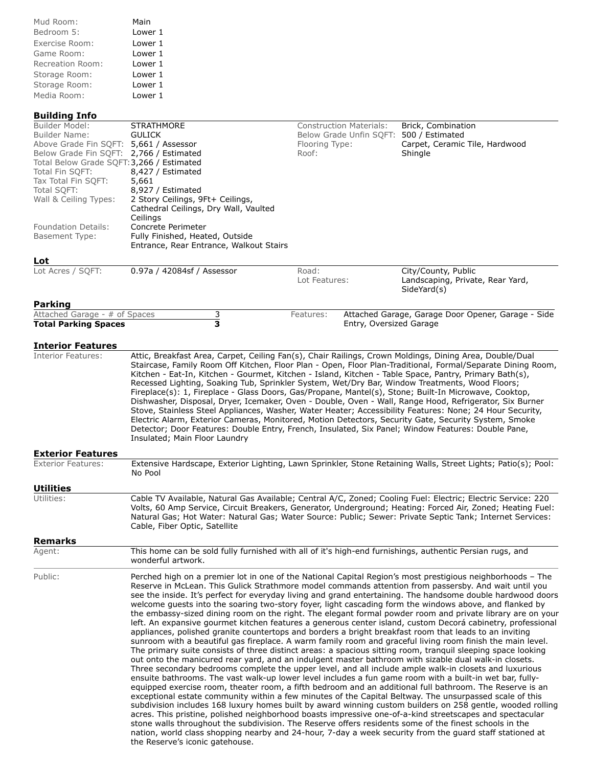| Mud Room:        | Main    |
|------------------|---------|
| Bedroom 5:       | Lower 1 |
| Exercise Room:   | Lower 1 |
| Game Room:       | Lower 1 |
| Recreation Room: | Lower 1 |
| Storage Room:    | Lower 1 |
| Storage Room:    | Lower 1 |
| Media Room:      | Lower 1 |

### **Building Info**

| Builder Model:                            | <b>STRATHMORE</b>                       | Construction Materials: | Brick, Combination                              |
|-------------------------------------------|-----------------------------------------|-------------------------|-------------------------------------------------|
| Builder Name:                             | <b>GULICK</b>                           | Below Grade Unfin SQFT: | 500 / Estimated                                 |
| Above Grade Fin SOFT: 5,661 / Assessor    |                                         | Flooring Type:          | Carpet, Ceramic Tile, Hardwood                  |
| Below Grade Fin SOFT: 2,766 / Estimated   |                                         | Roof:                   | Shingle                                         |
| Total Below Grade SQFT: 3,266 / Estimated |                                         |                         |                                                 |
| Total Fin SOFT:                           | 8,427 / Estimated                       |                         |                                                 |
| Tax Total Fin SQFT:                       | 5,661                                   |                         |                                                 |
| Total SQFT:                               | 8,927 / Estimated                       |                         |                                                 |
| Wall & Ceiling Types:                     | 2 Story Ceilings, 9Ft+ Ceilings,        |                         |                                                 |
|                                           | Cathedral Ceilings, Dry Wall, Vaulted   |                         |                                                 |
|                                           | Ceilings                                |                         |                                                 |
| <b>Foundation Details:</b>                | Concrete Perimeter                      |                         |                                                 |
| <b>Basement Type:</b>                     | Fully Finished, Heated, Outside         |                         |                                                 |
|                                           | Entrance, Rear Entrance, Walkout Stairs |                         |                                                 |
| Lot                                       |                                         |                         |                                                 |
| Lot Acres / SOFT:                         | 0.97a / 42084sf / Assessor              | Road:                   | City/County, Public                             |
|                                           |                                         | Lot Features:           | Landscaping, Private, Rear Yard,<br>SideYard(s) |
| <b>Parking</b>                            |                                         |                         |                                                 |
| $\mathbf{A}$                              | $\sim$                                  |                         | $\mathbf{A}$                                    |

#### Attached Garage - # of Spaces **Total Parking Spaces 3** Features: Attached Garage, Garage Door Opener, Garage - Side Entry, Oversized Garage

### **Interior Features**

Interior Features: Attic, Breakfast Area, Carpet, Ceiling Fan(s), Chair Railings, Crown Moldings, Dining Area, Double/Dual Staircase, Family Room Off Kitchen, Floor Plan - Open, Floor Plan-Traditional, Formal/Separate Dining Room, Kitchen - Eat-In, Kitchen - Gourmet, Kitchen - Island, Kitchen - Table Space, Pantry, Primary Bath(s), Recessed Lighting, Soaking Tub, Sprinkler System, Wet/Dry Bar, Window Treatments, Wood Floors; Fireplace(s): 1, Fireplace - Glass Doors, Gas/Propane, Mantel(s), Stone; Built-In Microwave, Cooktop, Dishwasher, Disposal, Dryer, Icemaker, Oven - Double, Oven - Wall, Range Hood, Refrigerator, Six Burner Stove, Stainless Steel Appliances, Washer, Water Heater; Accessibility Features: None; 24 Hour Security, Electric Alarm, Exterior Cameras, Monitored, Motion Detectors, Security Gate, Security System, Smoke Detector; Door Features: Double Entry, French, Insulated, Six Panel; Window Features: Double Pane, Insulated; Main Floor Laundry

## **Exterior Features**

| <b>Exterior Features:</b> | Extensive Hardscape, Exterior Lighting, Lawn Sprinkler, Stone Retaining Walls, Street Lights; Patio(s); Pool:<br>No Pool                                                                                                                                                                                                                |
|---------------------------|-----------------------------------------------------------------------------------------------------------------------------------------------------------------------------------------------------------------------------------------------------------------------------------------------------------------------------------------|
| Utilities                 |                                                                                                                                                                                                                                                                                                                                         |
| Utilities:                | Cable TV Available, Natural Gas Available; Central A/C, Zoned; Cooling Fuel: Electric; Electric Service: 220<br>Volts, 60 Amp Service, Circuit Breakers, Generator, Underground; Heating: Forced Air, Zoned; Heating Fuel:<br>Natural Gas; Hot Water: Natural Gas; Water Source: Public; Sewer: Private Septic Tank; Internet Services: |

### **Remarks**

Agent: This home can be sold fully furnished with all of it's high-end furnishings, authentic Persian rugs, and wonderful artwork.

Cable, Fiber Optic, Satellite

Public: Public: Perched high on a premier lot in one of the National Capital Region's most prestigious neighborhoods – The Reserve in McLean. This Gulick Strathmore model commands attention from passersby. And wait until you see the inside. It's perfect for everyday living and grand entertaining. The handsome double hardwood doors welcome guests into the soaring two-story foyer, light cascading form the windows above, and flanked by the embassy-sized dining room on the right. The elegant formal powder room and private library are on your left. An expansive gourmet kitchen features a generous center island, custom Decorá cabinetry, professional appliances, polished granite countertops and borders a bright breakfast room that leads to an inviting sunroom with a beautiful gas fireplace. A warm family room and graceful living room finish the main level. The primary suite consists of three distinct areas: a spacious sitting room, tranquil sleeping space looking out onto the manicured rear yard, and an indulgent master bathroom with sizable dual walk-in closets. Three secondary bedrooms complete the upper level, and all include ample walk-in closets and luxurious ensuite bathrooms. The vast walk-up lower level includes a fun game room with a built-in wet bar, fullyequipped exercise room, theater room, a fifth bedroom and an additional full bathroom. The Reserve is an exceptional estate community within a few minutes of the Capital Beltway. The unsurpassed scale of this subdivision includes 168 luxury homes built by award winning custom builders on 258 gentle, wooded rolling acres. This pristine, polished neighborhood boasts impressive one-of-a-kind streetscapes and spectacular stone walls throughout the subdivision. The Reserve offers residents some of the finest schools in the nation, world class shopping nearby and 24-hour, 7-day a week security from the guard staff stationed at the Reserve's iconic gatehouse.